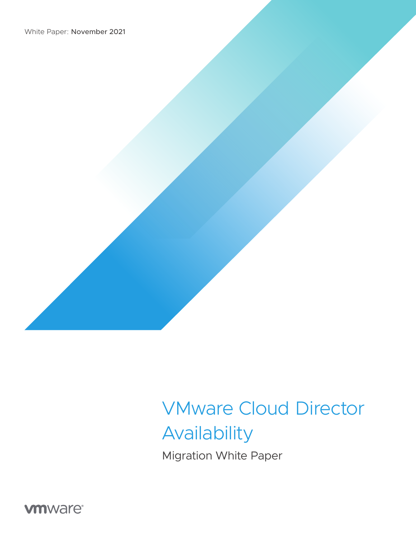

Migration White Paper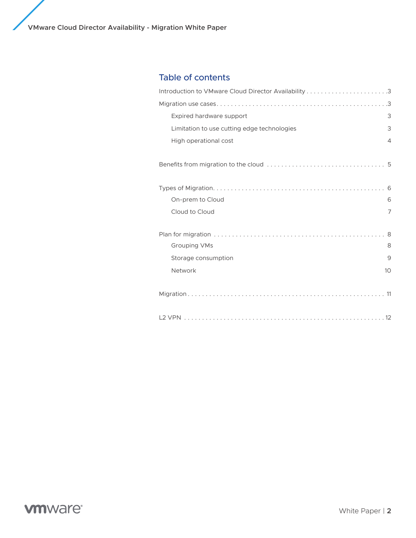**VMware Cloud Director Availability - Migration White Paper**

## Table of contents

| Expired hardware support                    | 3  |
|---------------------------------------------|----|
| Limitation to use cutting edge technologies | 3  |
| High operational cost                       | 4  |
|                                             |    |
|                                             |    |
| On-prem to Cloud                            | 6  |
| Cloud to Cloud                              | 7  |
|                                             |    |
| <b>Grouping VMs</b>                         | 8  |
| Storage consumption                         | 9  |
| Network                                     | 10 |
|                                             |    |
|                                             |    |

## **vmware®**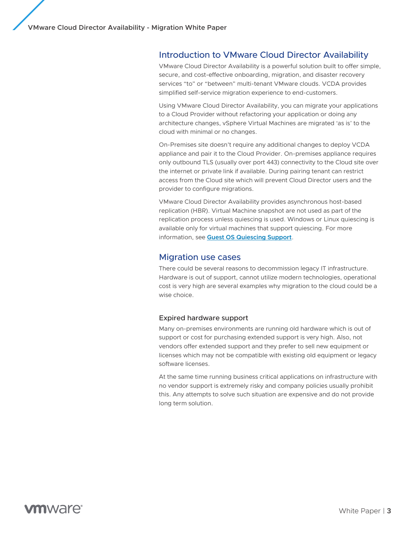### Introduction to VMware Cloud Director Availability

VMware Cloud Director Availability is a powerful solution built to offer simple, secure, and cost-effective onboarding, migration, and disaster recovery services "to" or "between" multi-tenant VMware clouds. VCDA provides simplified self-service migration experience to end-customers.

Using VMware Cloud Director Availability, you can migrate your applications to a Cloud Provider without refactoring your application or doing any architecture changes, vSphere Virtual Machines are migrated 'as is' to the cloud with minimal or no changes.

On-Premises site doesn't require any additional changes to deploy VCDA appliance and pair it to the Cloud Provider. On-premises appliance requires only outbound TLS (usually over port 443) connectivity to the Cloud site over the internet or private link if available. During pairing tenant can restrict access from the Cloud site which will prevent Cloud Director users and the provider to configure migrations.

VMware Cloud Director Availability provides asynchronous host-based replication (HBR). Virtual Machine snapshot are not used as part of the replication process unless quiescing is used. Windows or Linux quiescing is available only for virtual machines that support quiescing. For more information, see **[Guest OS Quiescing Support](https://docs.vmware.com/en/vSphere-Replication/8.1/rn/vsphere-replication-compat-matrix-8-1.html#guest-os-quiescing-support)**.

### Migration use cases

There could be several reasons to decommission legacy IT infrastructure. Hardware is out of support, cannot utilize modern technologies, operational cost is very high are several examples why migration to the cloud could be a wise choice.

#### Expired hardware support

Many on-premises environments are running old hardware which is out of support or cost for purchasing extended support is very high. Also, not vendors offer extended support and they prefer to sell new equipment or licenses which may not be compatible with existing old equipment or legacy software licenses.

At the same time running business critical applications on infrastructure with no vendor support is extremely risky and company policies usually prohibit this. Any attempts to solve such situation are expensive and do not provide long term solution.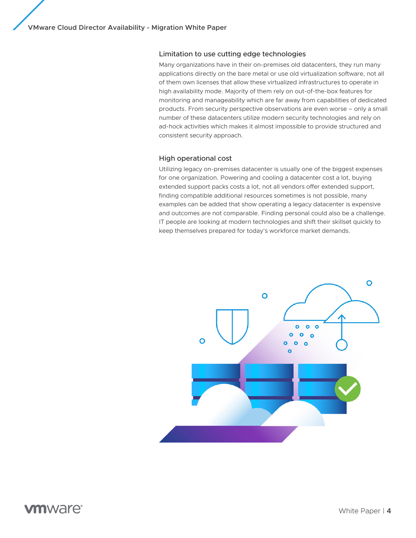### Limitation to use cutting edge technologies

Many organizations have in their on-premises old datacenters, they run many applications directly on the bare metal or use old virtualization software, not all of them own licenses that allow these virtualized infrastructures to operate in high availability mode. Majority of them rely on out-of-the-box features for monitoring and manageability which are far away from capabilities of dedicated products. From security perspective observations are even worse – only a small number of these datacenters utilize modern security technologies and rely on ad-hock activities which makes it almost impossible to provide structured and consistent security approach.

### High operational cost

Utilizing legacy on-premises datacenter is usually one of the biggest expenses for one organization. Powering and cooling a datacenter cost a lot, buying extended support packs costs a lot, not all vendors offer extended support, finding compatible additional resources sometimes is not possible, many examples can be added that show operating a legacy datacenter is expensive and outcomes are not comparable. Finding personal could also be a challenge. IT people are looking at modern technologies and shift their skillset quickly to keep themselves prepared for today's workforce market demands.

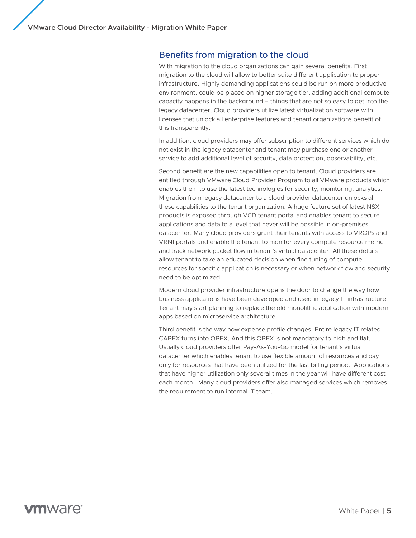### Benefits from migration to the cloud

With migration to the cloud organizations can gain several benefits. First migration to the cloud will allow to better suite different application to proper infrastructure. Highly demanding applications could be run on more productive environment, could be placed on higher storage tier, adding additional compute capacity happens in the background – things that are not so easy to get into the legacy datacenter. Cloud providers utilize latest virtualization software with licenses that unlock all enterprise features and tenant organizations benefit of this transparently.

In addition, cloud providers may offer subscription to different services which do not exist in the legacy datacenter and tenant may purchase one or another service to add additional level of security, data protection, observability, etc.

Second benefit are the new capabilities open to tenant. Cloud providers are entitled through VMware Cloud Provider Program to all VMware products which enables them to use the latest technologies for security, monitoring, analytics. Migration from legacy datacenter to a cloud provider datacenter unlocks all these capabilities to the tenant organization. A huge feature set of latest NSX products is exposed through VCD tenant portal and enables tenant to secure applications and data to a level that never will be possible in on-premises datacenter. Many cloud providers grant their tenants with access to VROPs and VRNI portals and enable the tenant to monitor every compute resource metric and track network packet flow in tenant's virtual datacenter. All these details allow tenant to take an educated decision when fine tuning of compute resources for specific application is necessary or when network flow and security need to be optimized.

Modern cloud provider infrastructure opens the door to change the way how business applications have been developed and used in legacy IT infrastructure. Tenant may start planning to replace the old monolithic application with modern apps based on microservice architecture.

Third benefit is the way how expense profile changes. Entire legacy IT related CAPEX turns into OPEX. And this OPEX is not mandatory to high and flat. Usually cloud providers offer Pay-As-You-Go model for tenant's virtual datacenter which enables tenant to use flexible amount of resources and pay only for resources that have been utilized for the last billing period. Applications that have higher utilization only several times in the year will have different cost each month. Many cloud providers offer also managed services which removes the requirement to run internal IT team.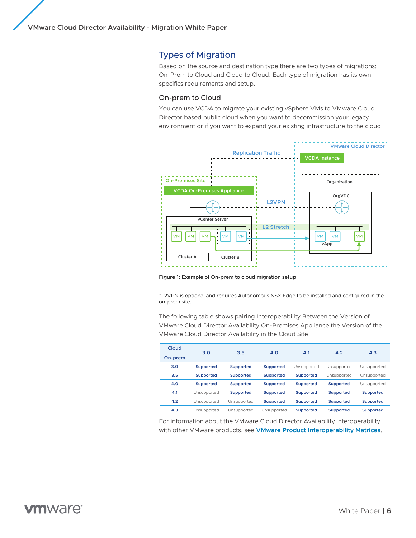## Types of Migration

Based on the source and destination type there are two types of migrations: On-Prem to Cloud and Cloud to Cloud. Each type of migration has its own specifics requirements and setup.

#### On-prem to Cloud

You can use VCDA to migrate your existing vSphere VMs to VMware Cloud Director based public cloud when you want to decommission your legacy environment or if you want to expand your existing infrastructure to the cloud.



**Figure 1: Example of On-prem to cloud migration setup**

\*L2VPN is optional and requires Autonomous NSX Edge to be installed and configured in the on-prem site.

The following table shows pairing Interoperability Between the Version of VMware Cloud Director Availability On-Premises Appliance the Version of the VMware Cloud Director Availability in the Cloud Site

| Cloud   | 3.0              | 3.5              | 4.0              | 4.1              | 4.2              | 4.3              |
|---------|------------------|------------------|------------------|------------------|------------------|------------------|
| On-prem |                  |                  |                  |                  |                  |                  |
| 3.0     | Supported        | <b>Supported</b> | <b>Supported</b> | Unsupported      | Unsupported      | Unsupported      |
| 3.5     | <b>Supported</b> | <b>Supported</b> | <b>Supported</b> | <b>Supported</b> | Unsupported      | Unsupported      |
| 4.0     | <b>Supported</b> | <b>Supported</b> | <b>Supported</b> | Supported        | <b>Supported</b> | Unsupported      |
| 4.1     | Unsupported      | <b>Supported</b> | <b>Supported</b> | <b>Supported</b> | <b>Supported</b> | <b>Supported</b> |
| 4.2     | Unsupported      | Unsupported      | Supported        | Supported        | <b>Supported</b> | <b>Supported</b> |
| 4.3     | Unsupported      | Unsupported      | Unsupported      | <b>Supported</b> | <b>Supported</b> | <b>Supported</b> |

For information about the VMware Cloud Director Availability interoperability with other VMware products, see **[VMware Product Interoperability Matrices](https://interopmatrix.vmware.com/#/Interoperability?isHideGenSupported=false&isHideTechSupported=false&isHideCompatible=false&isHideIncompatible=false&isHideNTCompatible=false&isHideNotSupported=true&isCollection=false&col=570,5384,4715,4716,4096,3622,3513,2919,2634&row=2,5088,4276,3496,3457,3222,2862,2736,3364,2732,2332,2132,2136,998,695,431,792,611,578,508,1034,442,444,448,254,1035,462,392,252,140,2981,194,172,38,242,173,37,36,35%261,5087,4275,3495,3456,3221,2861,2735,3363,2731,2331,2131,2135,994,694,430,795,620,577,507,1032,796,559,441,253,1033,500,391,251,141,2980,18,243,96,17,16,15,14,181%2693,5503,5468,4768,4795,4615,3608,3225,3010,2990,2739,2778,2349,2979,2746,2532,2581,2297,2295,2323,1734,2528,2436,2244,2243,2130,1914,1079,959,893,780,1080,980,912,880,811,779,760,698,759,749,715,686,685,613,601%26175,5755,5458,4926,4090,5371,4729,4198,3413,5316,4232,3787,3394,3777,3645,3451,2852,3216,2714,2595,2526,2176,1619)**.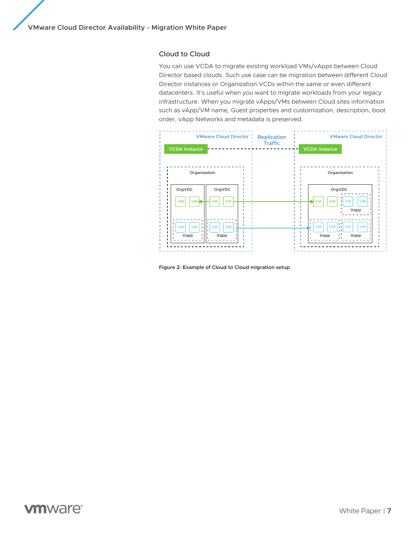### Cloud to Cloud

You can use VCDA to migrate existing workload VMs/vApps between Cloud Director based clouds. Such use case can be migration between different Cloud Director instances or Organization VCDs within the same or even different datacenters. It's useful when you want to migrate workloads from your legacy infrastructure. When you migrate vApps/VMs between Cloud sites information such as vApp/VM name, Guest properties and customization, description, boot order, vApp Networks and metadata is preserved.



**Figure 2: Example of Cloud to Cloud migration setup**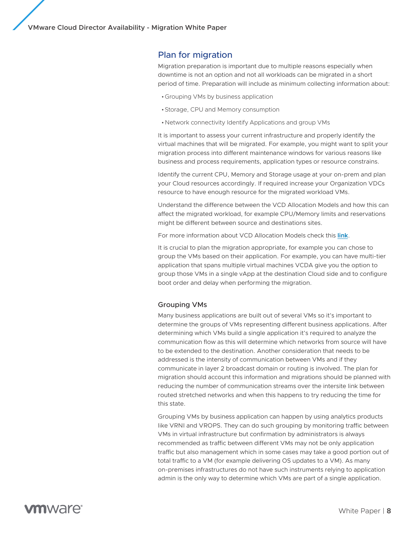### Plan for migration

Migration preparation is important due to multiple reasons especially when downtime is not an option and not all workloads can be migrated in a short period of time. Preparation will include as minimum collecting information about:

- •Grouping VMs by business application
- •Storage, CPU and Memory consumption
- •Network connectivity Identify Applications and group VMs

It is important to assess your current infrastructure and properly identify the virtual machines that will be migrated. For example, you might want to split your migration process into different maintenance windows for various reasons like business and process requirements, application types or resource constrains.

Identify the current CPU, Memory and Storage usage at your on-prem and plan your Cloud resources accordingly. If required increase your Organization VDCs resource to have enough resource for the migrated workload VMs.

Understand the difference between the VCD Allocation Models and how this can affect the migrated workload, for example CPU/Memory limits and reservations might be different between source and destinations sites.

For more information about VCD Allocation Models check this **[link](https://docs.vmware.com/en/VMware-Cloud-Director/10.3/VMware-Cloud-Director-Service-Provider-Admin-Portal-Guide/GUID-BE4CD03D-0644-4E12-81D7-74FABFF9D7A9.html)**.

It is crucial to plan the migration appropriate, for example you can chose to group the VMs based on their application. For example, you can have multi-tier application that spans multiple virtual machines VCDA give you the option to group those VMs in a single vApp at the destination Cloud side and to configure boot order and delay when performing the migration.

#### Grouping VMs

Many business applications are built out of several VMs so it's important to determine the groups of VMs representing different business applications. After determining which VMs build a single application it's required to analyze the communication flow as this will determine which networks from source will have to be extended to the destination. Another consideration that needs to be addressed is the intensity of communication between VMs and if they communicate in layer 2 broadcast domain or routing is involved. The plan for migration should account this information and migrations should be planned with reducing the number of communication streams over the intersite link between routed stretched networks and when this happens to try reducing the time for this state.

Grouping VMs by business application can happen by using analytics products like VRNI and VROPS. They can do such grouping by monitoring traffic between VMs in virtual infrastructure but confirmation by administrators is always recommended as traffic between different VMs may not be only application traffic but also management which in some cases may take a good portion out of total traffic to a VM (for example delivering OS updates to a VM). As many on-premises infrastructures do not have such instruments relying to application admin is the only way to determine which VMs are part of a single application.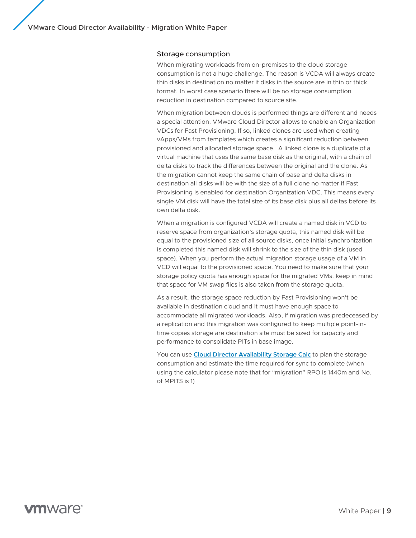#### Storage consumption

When migrating workloads from on-premises to the cloud storage consumption is not a huge challenge. The reason is VCDA will always create thin disks in destination no matter if disks in the source are in thin or thick format. In worst case scenario there will be no storage consumption reduction in destination compared to source site.

When migration between clouds is performed things are different and needs a special attention. VMware Cloud Director allows to enable an Organization VDCs for Fast Provisioning. If so, linked clones are used when creating vApps/VMs from templates which creates a significant reduction between provisioned and allocated storage space. A linked clone is a duplicate of a virtual machine that uses the same base disk as the original, with a chain of delta disks to track the differences between the original and the clone. As the migration cannot keep the same chain of base and delta disks in destination all disks will be with the size of a full clone no matter if Fast Provisioning is enabled for destination Organization VDC. This means every single VM disk will have the total size of its base disk plus all deltas before its own delta disk.

When a migration is configured VCDA will create a named disk in VCD to reserve space from organization's storage quota, this named disk will be equal to the provisioned size of all source disks, once initial synchronization is completed this named disk will shrink to the size of the thin disk (used space). When you perform the actual migration storage usage of a VM in VCD will equal to the provisioned space. You need to make sure that your storage policy quota has enough space for the migrated VMs, keep in mind that space for VM swap files is also taken from the storage quota.

As a result, the storage space reduction by Fast Provisioning won't be available in destination cloud and it must have enough space to accommodate all migrated workloads. Also, if migration was predeceased by a replication and this migration was configured to keep multiple point-intime copies storage are destination site must be sized for capacity and performance to consolidate PITs in base image.

You can use **[Cloud Director Availability Storage Calc](https://www.vmware.com/content/dam/digitalmarketing/vmware/en/files/xls/vmw-vcav-3.x-target-backup-storage-calc-v-2.0..xlsx)** to plan the storage consumption and estimate the time required for sync to complete (when using the calculator please note that for "migration" RPO is 1440m and No. of MPITS is 1)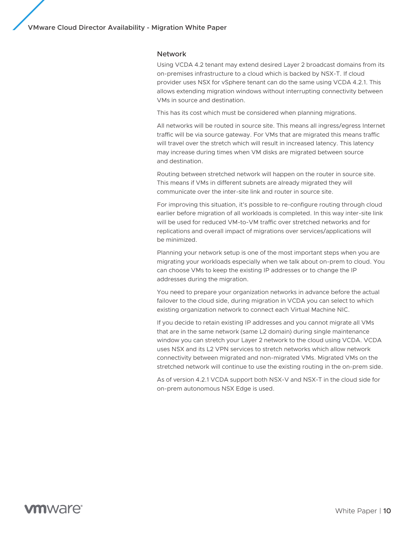#### Network

Using VCDA 4.2 tenant may extend desired Layer 2 broadcast domains from its on-premises infrastructure to a cloud which is backed by NSX-T. If cloud provider uses NSX for vSphere tenant can do the same using VCDA 4.2.1. This allows extending migration windows without interrupting connectivity between VMs in source and destination.

This has its cost which must be considered when planning migrations.

All networks will be routed in source site. This means all ingress/egress Internet traffic will be via source gateway. For VMs that are migrated this means traffic will travel over the stretch which will result in increased latency. This latency may increase during times when VM disks are migrated between source and destination.

Routing between stretched network will happen on the router in source site. This means if VMs in different subnets are already migrated they will communicate over the inter-site link and router in source site.

For improving this situation, it's possible to re-configure routing through cloud earlier before migration of all workloads is completed. In this way inter-site link will be used for reduced VM-to-VM traffic over stretched networks and for replications and overall impact of migrations over services/applications will be minimized.

Planning your network setup is one of the most important steps when you are migrating your workloads especially when we talk about on-prem to cloud. You can choose VMs to keep the existing IP addresses or to change the IP addresses during the migration.

You need to prepare your organization networks in advance before the actual failover to the cloud side, during migration in VCDA you can select to which existing organization network to connect each Virtual Machine NIC.

If you decide to retain existing IP addresses and you cannot migrate all VMs that are in the same network (same L2 domain) during single maintenance window you can stretch your Layer 2 network to the cloud using VCDA. VCDA uses NSX and its L2 VPN services to stretch networks which allow network connectivity between migrated and non-migrated VMs. Migrated VMs on the stretched network will continue to use the existing routing in the on-prem side.

As of version 4.2.1 VCDA support both NSX-V and NSX-T in the cloud side for on-prem autonomous NSX Edge is used.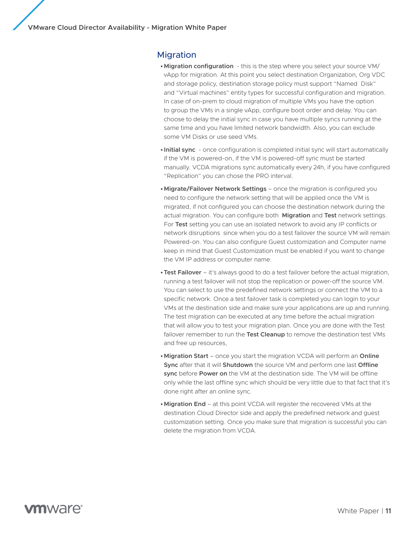### Migration

- **•Migration configuration**  this is the step where you select your source VM/ vApp for migration. At this point you select destination Organization, Org VDC and storage policy, destination storage policy must support "Named Disk" and "Virtual machines" entity types for successful configuration and migration. In case of on-prem to cloud migration of multiple VMs you have the option to group the VMs in a single vApp, configure boot order and delay. You can choose to delay the initial sync in case you have multiple syncs running at the same time and you have limited network bandwidth. Also, you can exclude some VM Disks or use seed VMs.
- **• Initial sync** once configuration is completed initial sync will start automatically if the VM is powered-on, if the VM is powered-off sync must be started manually. VCDA migrations sync automatically every 24h, if you have configured "Replication" you can chose the PRO interval.
- **•Migrate/Failover Network Settings**  once the migration is configured you need to configure the network setting that will be applied once the VM is migrated, if not configured you can choose the destination network during the actual migration. You can configure both **Migration** and **Test** network settings. For **Test** setting you can use an isolated network to avoid any IP conflicts or network disruptions since when you do a test failover the source VM will remain Powered-on. You can also configure Guest customization and Computer name keep in mind that Guest Customization must be enabled if you want to change the VM IP address or computer name.
- **•Test Failover**  it's always good to do a test failover before the actual migration, running a test failover will not stop the replication or power-off the source VM. You can select to use the predefined network settings or connect the VM to a specific network. Once a test failover task is completed you can login to your VMs at the destination side and make sure your applications are up and running. The test migration can be executed at any time before the actual migration that will allow you to test your migration plan. Once you are done with the Test failover remember to run the **Test Cleanup** to remove the destination test VMs and free up resources,
- **•Migration Start** once you start the migration VCDA will perform an **Online Sync** after that it will **Shutdown** the source VM and perform one last **Offline sync** before **Power on** the VM at the destination side. The VM will be offline only while the last offline sync which should be very little due to that fact that it's done right after an online sync.
- **•Migration End** at this point VCDA will register the recovered VMs at the destination Cloud Director side and apply the predefined network and guest customization setting. Once you make sure that migration is successful you can delete the migration from VCDA.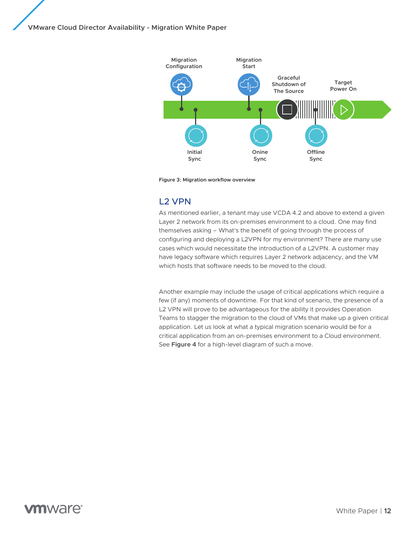

**Figure 3: Migration workflow overview**

## L2 VPN

As mentioned earlier, a tenant may use VCDA 4.2 and above to extend a given Layer 2 network from its on-premises environment to a cloud. One may find themselves asking – What's the benefit of going through the process of configuring and deploying a L2VPN for my environment? There are many use cases which would necessitate the introduction of a L2VPN. A customer may have legacy software which requires Layer 2 network adjacency, and the VM which hosts that software needs to be moved to the cloud.

Another example may include the usage of critical applications which require a few (if any) moments of downtime. For that kind of scenario, the presence of a L2 VPN will prove to be advantageous for the ability it provides Operation Teams to stagger the migration to the cloud of VMs that make up a given critical application. Let us look at what a typical migration scenario would be for a critical application from an on-premises environment to a Cloud environment. See **Figure 4** for a high-level diagram of such a move.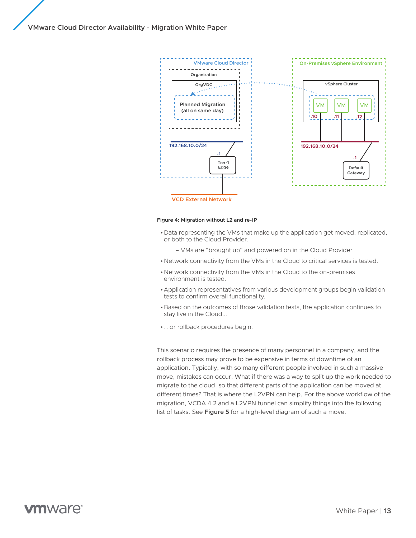

#### **Figure 4: Migration without L2 and re-IP**

•Data representing the VMs that make up the application get moved, replicated, or both to the Cloud Provider.

– VMs are "brought up" and powered on in the Cloud Provider.

- •Network connectivity from the VMs in the Cloud to critical services is tested.
- •Network connectivity from the VMs in the Cloud to the on-premises environment is tested.
- •Application representatives from various development groups begin validation tests to confirm overall functionality.
- •Based on the outcomes of those validation tests, the application continues to stay live in the Cloud...
- •… or rollback procedures begin.

This scenario requires the presence of many personnel in a company, and the rollback process may prove to be expensive in terms of downtime of an application. Typically, with so many different people involved in such a massive move, mistakes can occur. What if there was a way to split up the work needed to migrate to the cloud, so that different parts of the application can be moved at different times? That is where the L2VPN can help. For the above workflow of the migration, VCDA 4.2 and a L2VPN tunnel can simplify things into the following list of tasks. See **Figure 5** for a high-level diagram of such a move.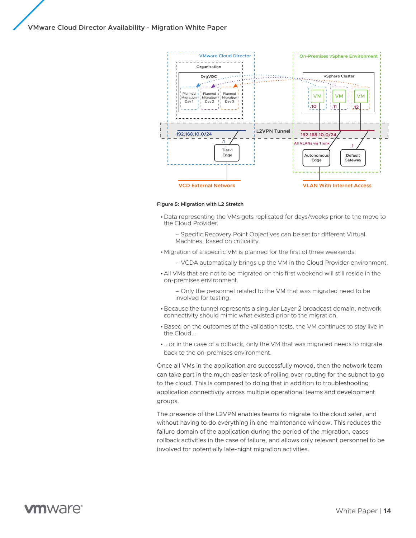

#### **Figure 5: Migration with L2 Stretch**

- •Data representing the VMs gets replicated for days/weeks prior to the move to the Cloud Provider.
	- Specific Recovery Point Objectives can be set for different Virtual Machines, based on criticality.
- •Migration of a specific VM is planned for the first of three weekends.
	- VCDA automatically brings up the VM in the Cloud Provider environment.
- •All VMs that are not to be migrated on this first weekend will still reside in the on-premises environment.
	- Only the personnel related to the VM that was migrated need to be involved for testing.
- •Because the tunnel represents a singular Layer 2 broadcast domain, network connectivity should mimic what existed prior to the migration.
- •Based on the outcomes of the validation tests, the VM continues to stay live in the Cloud...
- ...or in the case of a rollback, only the VM that was migrated needs to migrate back to the on-premises environment.

Once all VMs in the application are successfully moved, then the network team can take part in the much easier task of rolling over routing for the subnet to go to the cloud. This is compared to doing that in addition to troubleshooting application connectivity across multiple operational teams and development groups.

The presence of the L2VPN enables teams to migrate to the cloud safer, and without having to do everything in one maintenance window. This reduces the failure domain of the application during the period of the migration, eases rollback activities in the case of failure, and allows only relevant personnel to be involved for potentially late-night migration activities.